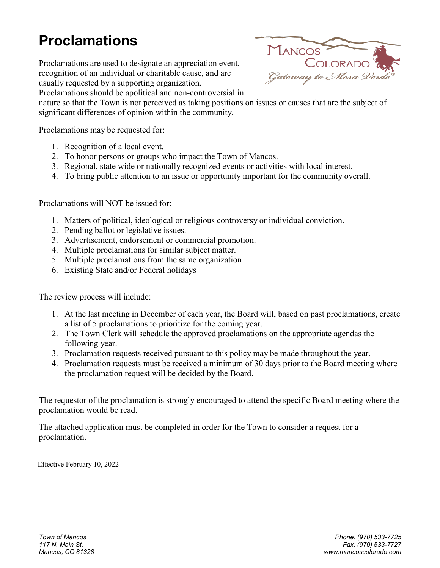## **Proclamations**

Proclamations are used to designate an appreciation event, recognition of an individual or charitable cause, and are usually requested by a supporting organization.

Proclamations should be apolitical and non-controversial in



nature so that the Town is not perceived as taking positions on issues or causes that are the subject of significant differences of opinion within the community.

Proclamations may be requested for:

- 1. Recognition of a local event.
- 2. To honor persons or groups who impact the Town of Mancos.
- 3. Regional, state wide or nationally recognized events or activities with local interest.
- 4. To bring public attention to an issue or opportunity important for the community overall.

Proclamations will NOT be issued for:

- 1. Matters of political, ideological or religious controversy or individual conviction.
- 2. Pending ballot or legislative issues.
- 3. Advertisement, endorsement or commercial promotion.
- 4. Multiple proclamations for similar subject matter.
- 5. Multiple proclamations from the same organization
- 6. Existing State and/or Federal holidays

The review process will include:

- 1. At the last meeting in December of each year, the Board will, based on past proclamations, create a list of 5 proclamations to prioritize for the coming year.
- 2. The Town Clerk will schedule the approved proclamations on the appropriate agendas the following year.
- 3. Proclamation requests received pursuant to this policy may be made throughout the year.
- 4. Proclamation requests must be received a minimum of 30 days prior to the Board meeting where the proclamation request will be decided by the Board.

The requestor of the proclamation is strongly encouraged to attend the specific Board meeting where the proclamation would be read.

The attached application must be completed in order for the Town to consider a request for a proclamation.

Effective February 10, 2022